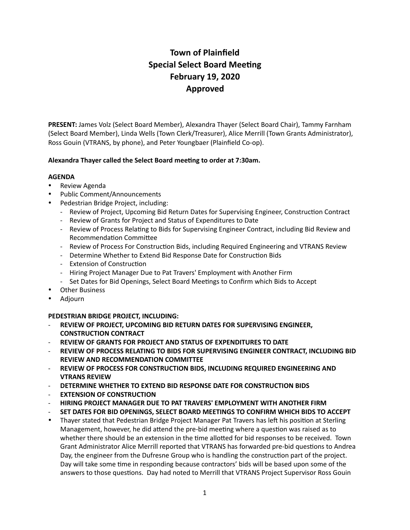# **Town of Plainfield Special Select Board Meeting February 19, 2020 Approved**

**PRESENT:** James Volz (Select Board Member), Alexandra Thayer (Select Board Chair), Tammy Farnham (Select Board Member), Linda Wells (Town Clerk/Treasurer), Alice Merrill (Town Grants Administrator), Ross Gouin (VTRANS, by phone), and Peter Youngbaer (Plainfield Co-op).

## Alexandra Thayer called the Select Board meeting to order at 7:30am.

### **AGENDA**

- Review Agenda
- Public Comment/Announcements
- Pedestrian Bridge Project, including:
	- Review of Project, Upcoming Bid Return Dates for Supervising Engineer, Construction Contract
	- Review of Grants for Project and Status of Expenditures to Date
	- Review of Process Relating to Bids for Supervising Engineer Contract, including Bid Review and Recommendation Committee
	- Review of Process For Construction Bids, including Required Engineering and VTRANS Review
	- Determine Whether to Extend Bid Response Date for Construction Bids
	- Extension of Construction
	- Hiring Project Manager Due to Pat Travers' Employment with Another Firm
	- Set Dates for Bid Openings, Select Board Meetings to Confirm which Bids to Accept
- **Other Business**
- Adjourn

# **PEDESTRIAN BRIDGE PROJECT, INCLUDING:**

- **REVIEW OF PROJECT, UPCOMING BID RETURN DATES FOR SUPERVISING ENGINEER, CONSTRUCTION CONTRACT**
- **REVIEW OF GRANTS FOR PROJECT AND STATUS OF EXPENDITURES TO DATE**
- **REVIEW OF PROCESS RELATING TO BIDS FOR SUPERVISING ENGINEER CONTRACT, INCLUDING BID REVIEW AND RECOMMENDATION COMMITTEE**
- **REVIEW OF PROCESS FOR CONSTRUCTION BIDS, INCLUDING REQUIRED ENGINEERING AND VTRANS REVIEW**
- **DETERMINE WHETHER TO EXTEND BID RESPONSE DATE FOR CONSTRUCTION BIDS**
- **EXTENSION OF CONSTRUCTION**
- **HIRING PROJECT MANAGER DUE TO PAT TRAVERS' EMPLOYMENT WITH ANOTHER FIRM**
- **SET DATES FOR BID OPENINGS, SELECT BOARD MEETINGS TO CONFIRM WHICH BIDS TO ACCEPT**
- Thayer stated that Pedestrian Bridge Project Manager Pat Travers has left his position at Sterling Management, however, he did attend the pre-bid meeting where a question was raised as to whether there should be an extension in the time allotted for bid responses to be received. Town Grant Administrator Alice Merrill reported that VTRANS has forwarded pre-bid questions to Andrea Day, the engineer from the Dufresne Group who is handling the construction part of the project. Day will take some time in responding because contractors' bids will be based upon some of the answers to those questions. Day had noted to Merrill that VTRANS Project Supervisor Ross Gouin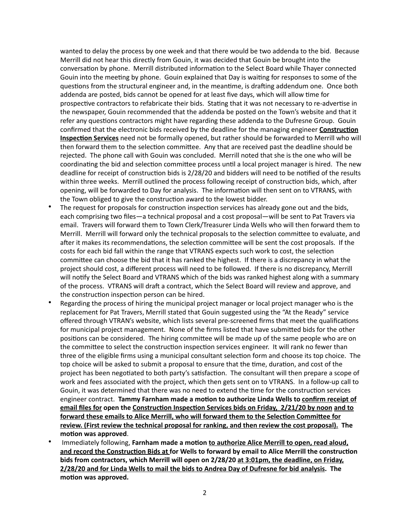wanted to delay the process by one week and that there would be two addenda to the bid. Because Merrill did not hear this directly from Gouin, it was decided that Gouin be brought into the conversation by phone. Merrill distributed information to the Select Board while Thayer connected Gouin into the meeting by phone. Gouin explained that Day is waiting for responses to some of the questions from the structural engineer and, in the meantime, is drafting addendum one. Once both addenda are posted, bids cannot be opened for at least five days, which will allow time for prospective contractors to refabricate their bids. Stating that it was not necessary to re-advertise in the newspaper, Gouin recommended that the addenda be posted on the Town's website and that it refer any questions contractors might have regarding these addenda to the Dufresne Group. Gouin confirmed that the electronic bids received by the deadline for the managing engineer **Construction Inspection Services** need not be formally opened, but rather should be forwarded to Merrill who will then forward them to the selection committee. Any that are received past the deadline should be rejected. The phone call with Gouin was concluded. Merrill noted that she is the one who will be coordinating the bid and selection committee process until a local project manager is hired. The new deadline for receipt of construction bids is 2/28/20 and bidders will need to be notified of the results within three weeks. Merrill outlined the process following receipt of construction bids, which, after opening, will be forwarded to Day for analysis. The information will then sent on to VTRANS, with the Town obliged to give the construction award to the lowest bidder.

- The request for proposals for construction inspection services has already gone out and the bids, each comprising two files—a technical proposal and a cost proposal—will be sent to Pat Travers via email. Travers will forward them to Town Clerk/Treasurer Linda Wells who will then forward them to Merrill. Merrill will forward only the technical proposals to the selection committee to evaluate, and after it makes its recommendations, the selection committee will be sent the cost proposals. If the costs for each bid fall within the range that VTRANS expects such work to cost, the selection committee can choose the bid that it has ranked the highest. If there is a discrepancy in what the project should cost, a different process will need to be followed. If there is no discrepancy, Merrill will notify the Select Board and VTRANS which of the bids was ranked highest along with a summary of the process. VTRANS will draft a contract, which the Select Board will review and approve, and the construction inspection person can be hired.
- Regarding the process of hiring the municipal project manager or local project manager who is the replacement for Pat Travers, Merrill stated that Gouin suggested using the "At the Ready" service offered through VTRAN's website, which lists several pre-screened firms that meet the qualifications for municipal project management. None of the firms listed that have submitted bids for the other positions can be considered. The hiring committee will be made up of the same people who are on the committee to select the construction inspection services engineer. It will rank no fewer than three of the eligible firms using a municipal consultant selection form and choose its top choice. The top choice will be asked to submit a proposal to ensure that the time, duration, and cost of the project has been negotiated to both party's satisfaction. The consultant will then prepare a scope of work and fees associated with the project, which then gets sent on to VTRANS. In a follow-up call to Gouin, it was determined that there was no need to extend the time for the construction services engineer contract. **Tammy Farnham made a motion to authorize Linda Wells to confirm receipt of email files for open the Construction Inspection Services bids on Friday, 2/21/20 by noon and to** forward these emails to Alice Merrill, who will forward them to the Selection Committee for **review. (First review the technical proposal for ranking, and then review the cost proposal). The**  motion was approved.
- Immediately following, Farnham made a motion to authorize Alice Merrill to open, read aloud, and record the Construction Bids at for Wells to forward by email to Alice Merrill the construction **bids from contractors, which Merrill will open on 2/28/20 at 3:01pm, the deadline, on Friday, 2/28/20 and for Linda Wells to mail the bids to Andrea Day of Dufresne for bid analysis. The**  motion was approved.